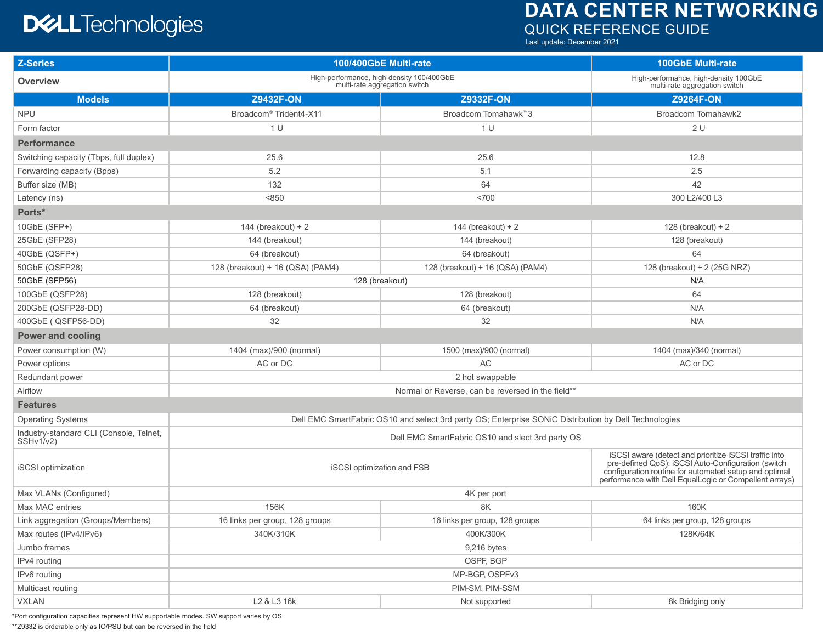## **DATA CENTER NETWORKING** QUICK REFERENCE GUIDE

## **DELL**Technologies

Last update: December 2021

| <b>Z-Series</b>                                      | 100/400GbE Multi-rate                                                                                 |                                   | <b>100GbE Multi-rate</b>                                                                                                                                                                                                       |  |
|------------------------------------------------------|-------------------------------------------------------------------------------------------------------|-----------------------------------|--------------------------------------------------------------------------------------------------------------------------------------------------------------------------------------------------------------------------------|--|
| <b>Overview</b>                                      | High-performance, high-density 100/400GbE<br>multi-rate aggregation switch                            |                                   | High-performance, high-density 100GbE<br>multi-rate aggregation switch                                                                                                                                                         |  |
| <b>Models</b>                                        | <b>Z9432F-ON</b>                                                                                      | <b>Z9332F-ON</b>                  | <b>Z9264F-ON</b>                                                                                                                                                                                                               |  |
| <b>NPU</b>                                           | Broadcom <sup>®</sup> Trident4-X11                                                                    | Broadcom Tomahawk™3               | <b>Broadcom Tomahawk2</b>                                                                                                                                                                                                      |  |
| Form factor                                          | 1 U                                                                                                   | 1 U                               | 2U                                                                                                                                                                                                                             |  |
| <b>Performance</b>                                   |                                                                                                       |                                   |                                                                                                                                                                                                                                |  |
| Switching capacity (Tbps, full duplex)               | 25.6                                                                                                  | 25.6                              | 12.8                                                                                                                                                                                                                           |  |
| Forwarding capacity (Bpps)                           | 5.2                                                                                                   | 5.1                               | 2.5                                                                                                                                                                                                                            |  |
| Buffer size (MB)                                     | 132                                                                                                   | 64                                | 42                                                                                                                                                                                                                             |  |
| Latency (ns)                                         | < 850                                                                                                 | <700                              | 300 L2/400 L3                                                                                                                                                                                                                  |  |
| Ports*                                               |                                                                                                       |                                   |                                                                                                                                                                                                                                |  |
| 10GbE (SFP+)                                         | 144 (breakout) + $2$                                                                                  | 144 (breakout) + $2$              | 128 (breakout) + $2$                                                                                                                                                                                                           |  |
| 25GbE (SFP28)                                        | 144 (breakout)                                                                                        | 144 (breakout)                    | 128 (breakout)                                                                                                                                                                                                                 |  |
| 40GbE (QSFP+)                                        | 64 (breakout)                                                                                         | 64 (breakout)                     | 64                                                                                                                                                                                                                             |  |
| 50GbE (QSFP28)                                       | 128 (breakout) + 16 (QSA) (PAM4)                                                                      | 128 (breakout) + 16 (QSA) (PAM4)  | 128 (breakout) + 2 (25G NRZ)                                                                                                                                                                                                   |  |
| 50GbE (SFP56)                                        | 128 (breakout)                                                                                        |                                   | N/A                                                                                                                                                                                                                            |  |
| 100GbE (QSFP28)                                      | 128 (breakout)                                                                                        | 128 (breakout)                    | 64                                                                                                                                                                                                                             |  |
| 200GbE (QSFP28-DD)                                   | 64 (breakout)                                                                                         | 64 (breakout)                     | N/A                                                                                                                                                                                                                            |  |
| 400GbE ( QSFP56-DD)                                  | 32                                                                                                    | 32                                | N/A                                                                                                                                                                                                                            |  |
| <b>Power and cooling</b>                             |                                                                                                       |                                   |                                                                                                                                                                                                                                |  |
| Power consumption (W)                                | 1404 (max)/900 (normal)                                                                               | 1500 (max)/900 (normal)           | 1404 (max)/340 (normal)                                                                                                                                                                                                        |  |
| Power options                                        | AC or DC                                                                                              | AC                                | AC or DC                                                                                                                                                                                                                       |  |
| Redundant power                                      | 2 hot swappable                                                                                       |                                   |                                                                                                                                                                                                                                |  |
| Airflow                                              | Normal or Reverse, can be reversed in the field**                                                     |                                   |                                                                                                                                                                                                                                |  |
| <b>Features</b>                                      |                                                                                                       |                                   |                                                                                                                                                                                                                                |  |
| <b>Operating Systems</b>                             | Dell EMC SmartFabric OS10 and select 3rd party OS; Enterprise SONiC Distribution by Dell Technologies |                                   |                                                                                                                                                                                                                                |  |
| Industry-standard CLI (Console, Telnet,<br>SSHv1/v2) | Dell EMC SmartFabric OS10 and slect 3rd party OS                                                      |                                   |                                                                                                                                                                                                                                |  |
| iSCSI optimization                                   | <b>iSCSI</b> optimization and FSB                                                                     |                                   | iSCSI aware (detect and prioritize iSCSI traffic into<br>pre-defined QoS); iSCSI Auto-Configuration (switch<br>configuration routine for automated setup and optimal<br>performance with Dell EqualLogic or Compellent arrays) |  |
| Max VLANs (Configured)                               | 4K per port                                                                                           |                                   |                                                                                                                                                                                                                                |  |
| Max MAC entries                                      | 156K                                                                                                  | 8K                                | 160K                                                                                                                                                                                                                           |  |
| Link aggregation (Groups/Members)                    | 16 links per group, 128 groups                                                                        | 16 links per group, 128 groups    | 64 links per group, 128 groups                                                                                                                                                                                                 |  |
| Max routes (IPv4/IPv6)                               | 340K/310K                                                                                             | 400K/300K                         | 128K/64K                                                                                                                                                                                                                       |  |
| Jumbo frames                                         | 9,216 bytes                                                                                           |                                   |                                                                                                                                                                                                                                |  |
| IPv4 routing                                         | OSPF, BGP                                                                                             |                                   |                                                                                                                                                                                                                                |  |
| IPv6 routing                                         | MP-BGP, OSPFv3                                                                                        |                                   |                                                                                                                                                                                                                                |  |
| Multicast routing                                    | PIM-SM, PIM-SSM                                                                                       |                                   |                                                                                                                                                                                                                                |  |
| <b>VXLAN</b>                                         | L2 & L3 16k                                                                                           | Not supported<br>8k Bridging only |                                                                                                                                                                                                                                |  |

\*Port configuration capacities represent HW supportable modes. SW support varies by OS.

\*\*Z9332 is orderable only as IO/PSU but can be reversed in the field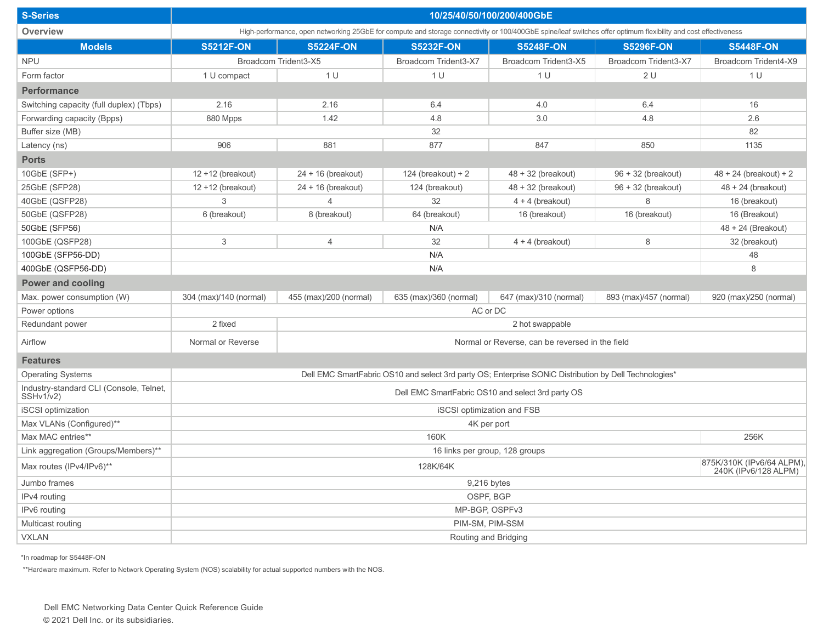| <b>S-Series</b>                                      | 10/25/40/50/100/200/400GbE                                                                                                                                      |                                                 |                        |                        |                        |                          |
|------------------------------------------------------|-----------------------------------------------------------------------------------------------------------------------------------------------------------------|-------------------------------------------------|------------------------|------------------------|------------------------|--------------------------|
| Overview                                             | High-performance, open networking 25GbE for compute and storage connectivity or 100/400GbE spine/leaf switches offer optimum flexibility and cost effectiveness |                                                 |                        |                        |                        |                          |
| <b>Models</b>                                        | <b>S5212F-ON</b>                                                                                                                                                | <b>S5224F-ON</b>                                | <b>S5232F-ON</b>       | <b>S5248F-ON</b>       | <b>S5296F-ON</b>       | <b>S5448F-ON</b>         |
| <b>NPU</b>                                           |                                                                                                                                                                 | Broadcom Trident3-X5                            | Broadcom Trident3-X7   | Broadcom Trident3-X5   | Broadcom Trident3-X7   | Broadcom Trident4-X9     |
| Form factor                                          | 1 U compact                                                                                                                                                     | 1 U                                             | 1 U                    | 1 <sup>U</sup>         | 2U                     | 1 U                      |
| <b>Performance</b>                                   |                                                                                                                                                                 |                                                 |                        |                        |                        |                          |
| Switching capacity (full duplex) (Tbps)              | 2.16                                                                                                                                                            | 2.16                                            | 6.4                    | 4.0                    | 6.4                    | 16                       |
| Forwarding capacity (Bpps)                           | 880 Mpps                                                                                                                                                        | 1.42                                            | 4.8                    | 3.0                    | 4.8                    | 2.6                      |
| Buffer size (MB)                                     |                                                                                                                                                                 | 32                                              |                        |                        |                        | 82                       |
| Latency (ns)                                         | 906                                                                                                                                                             | 881                                             | 877                    | 847                    | 850                    | 1135                     |
| <b>Ports</b>                                         |                                                                                                                                                                 |                                                 |                        |                        |                        |                          |
| 10GbE (SFP+)                                         | $12 + 12$ (breakout)                                                                                                                                            | $24 + 16$ (breakout)                            | 124 (breakout) + $2$   | $48 + 32$ (breakout)   | $96 + 32$ (breakout)   | $48 + 24$ (breakout) + 2 |
| 25GbE (SFP28)                                        | $12 + 12$ (breakout)                                                                                                                                            | $24 + 16$ (breakout)                            | 124 (breakout)         | $48 + 32$ (breakout)   | $96 + 32$ (breakout)   | $48 + 24$ (breakout)     |
| 40GbE (QSFP28)                                       | 3                                                                                                                                                               | $\overline{4}$                                  | 32                     | $4 + 4$ (breakout)     | 8                      | 16 (breakout)            |
| 50GbE (QSFP28)                                       | 6 (breakout)                                                                                                                                                    | 8 (breakout)                                    | 64 (breakout)          | 16 (breakout)          | 16 (breakout)          | 16 (Breakout)            |
| 50GbE (SFP56)                                        |                                                                                                                                                                 | N/A                                             |                        |                        |                        | 48 + 24 (Breakout)       |
| 100GbE (QSFP28)                                      | 3                                                                                                                                                               | $\overline{4}$                                  | 32                     | $4 + 4$ (breakout)     | 8                      | 32 (breakout)            |
| 100GbE (SFP56-DD)                                    |                                                                                                                                                                 | N/A<br>48                                       |                        |                        |                        |                          |
| 400GbE (QSFP56-DD)                                   |                                                                                                                                                                 | N/A<br>8                                        |                        |                        |                        |                          |
| <b>Power and cooling</b>                             |                                                                                                                                                                 |                                                 |                        |                        |                        |                          |
| Max. power consumption (W)                           | 304 (max)/140 (normal)                                                                                                                                          | 455 (max)/200 (normal)                          | 635 (max)/360 (normal) | 647 (max)/310 (normal) | 893 (max)/457 (normal) | 920 (max)/250 (normal)   |
| Power options                                        |                                                                                                                                                                 | AC or DC                                        |                        |                        |                        |                          |
| Redundant power                                      | 2 fixed                                                                                                                                                         | 2 hot swappable                                 |                        |                        |                        |                          |
| Airflow                                              | Normal or Reverse                                                                                                                                               | Normal or Reverse, can be reversed in the field |                        |                        |                        |                          |
| <b>Features</b>                                      |                                                                                                                                                                 |                                                 |                        |                        |                        |                          |
| <b>Operating Systems</b>                             | Dell EMC SmartFabric OS10 and select 3rd party OS; Enterprise SONIC Distribution by Dell Technologies*                                                          |                                                 |                        |                        |                        |                          |
| Industry-standard CLI (Console, Telnet,<br>SSHv1/v2) | Dell EMC SmartFabric OS10 and select 3rd party OS                                                                                                               |                                                 |                        |                        |                        |                          |
| <b>iSCSI</b> optimization                            | <b>iSCSI</b> optimization and FSB                                                                                                                               |                                                 |                        |                        |                        |                          |
| Max VLANs (Configured)**                             | 4K per port                                                                                                                                                     |                                                 |                        |                        |                        |                          |
| Max MAC entries**                                    | 256K<br>160K                                                                                                                                                    |                                                 |                        |                        |                        |                          |
| Link aggregation (Groups/Members)**                  | 16 links per group, 128 groups                                                                                                                                  |                                                 |                        |                        |                        |                          |
| Max routes (IPv4/IPv6)**                             | 875K/310K (IPv6/64 ALPM)<br>128K/64K<br>240K (IPv6/128 ALPM)                                                                                                    |                                                 |                        |                        |                        |                          |
| Jumbo frames                                         | 9,216 bytes                                                                                                                                                     |                                                 |                        |                        |                        |                          |
| IPv4 routing                                         | OSPF, BGP                                                                                                                                                       |                                                 |                        |                        |                        |                          |
| IPv6 routing                                         | MP-BGP, OSPFv3                                                                                                                                                  |                                                 |                        |                        |                        |                          |
| Multicast routing                                    | PIM-SM, PIM-SSM                                                                                                                                                 |                                                 |                        |                        |                        |                          |
| <b>VXLAN</b>                                         | Routing and Bridging                                                                                                                                            |                                                 |                        |                        |                        |                          |

\*In roadmap for S5448F-ON

\*\*Hardware maximum. Refer to Network Operating System (NOS) scalability for actual supported numbers with the NOS.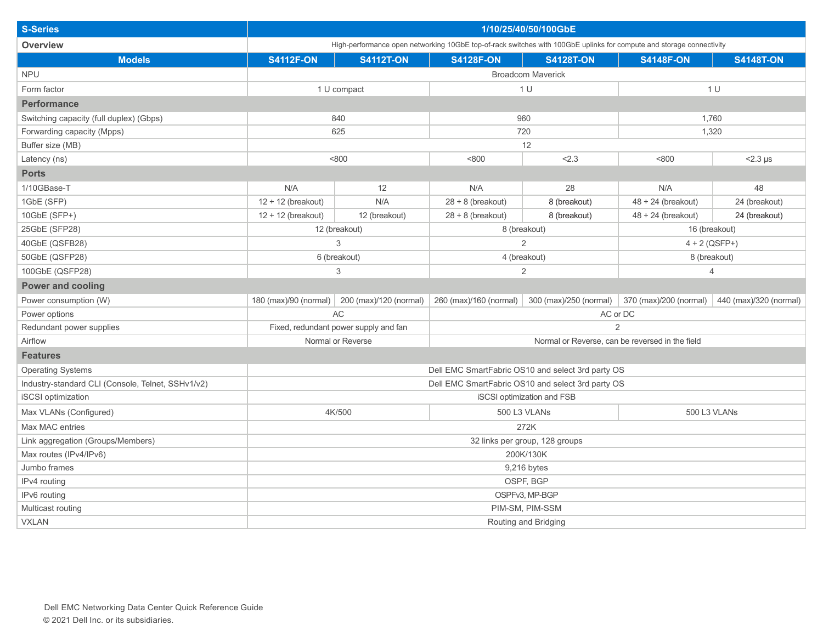| <b>S-Series</b>                                   | 1/10/25/40/50/100GbE                                                                                                 |                        |                                                 |                                                   |                        |                        |
|---------------------------------------------------|----------------------------------------------------------------------------------------------------------------------|------------------------|-------------------------------------------------|---------------------------------------------------|------------------------|------------------------|
| <b>Overview</b>                                   | High-performance open networking 10GbE top-of-rack switches with 100GbE uplinks for compute and storage connectivity |                        |                                                 |                                                   |                        |                        |
| <b>Models</b>                                     | <b>S4112F-ON</b>                                                                                                     | <b>S4112T-ON</b>       | <b>S4128F-ON</b>                                | <b>S4128T-ON</b>                                  | <b>S4148F-ON</b>       | <b>S4148T-ON</b>       |
| <b>NPU</b>                                        |                                                                                                                      |                        |                                                 | <b>Broadcom Maverick</b>                          |                        |                        |
| Form factor                                       | 1 U compact                                                                                                          |                        | 1 <sub>U</sub>                                  |                                                   | 1 U                    |                        |
| <b>Performance</b>                                |                                                                                                                      |                        |                                                 |                                                   |                        |                        |
| Switching capacity (full duplex) (Gbps)           | 840                                                                                                                  |                        | 960                                             |                                                   | 1,760                  |                        |
| Forwarding capacity (Mpps)                        | 625                                                                                                                  |                        | 720                                             |                                                   | 1,320                  |                        |
| Buffer size (MB)                                  |                                                                                                                      |                        | 12                                              |                                                   |                        |                        |
| Latency (ns)                                      | < 800                                                                                                                |                        | < 800                                           | 2.3                                               | < 800                  | $<$ 2.3 $\mu$ s        |
| <b>Ports</b>                                      |                                                                                                                      |                        |                                                 |                                                   |                        |                        |
| 1/10GBase-T                                       | N/A                                                                                                                  | 12                     | N/A                                             | 28                                                | N/A                    | 48                     |
| 1GbE (SFP)                                        | $12 + 12$ (breakout)                                                                                                 | N/A                    | $28 + 8$ (breakout)                             | 8 (breakout)                                      | $48 + 24$ (breakout)   | 24 (breakout)          |
| 10GbE (SFP+)                                      | $12 + 12$ (breakout)                                                                                                 | 12 (breakout)          | $28 + 8$ (breakout)                             | 8 (breakout)                                      | $48 + 24$ (breakout)   | 24 (breakout)          |
| 25GbE (SFP28)                                     | 12 (breakout)                                                                                                        |                        | 8 (breakout)                                    |                                                   | 16 (breakout)          |                        |
| 40GbE (QSFB28)                                    | 3                                                                                                                    |                        | $\overline{2}$                                  |                                                   | $4 + 2 (QSFP+)$        |                        |
| 50GbE (QSFP28)                                    | 6 (breakout)                                                                                                         |                        | 4 (breakout)                                    |                                                   | 8 (breakout)           |                        |
| 100GbE (QSFP28)                                   | 3                                                                                                                    |                        | $\overline{2}$                                  |                                                   | 4                      |                        |
| <b>Power and cooling</b>                          |                                                                                                                      |                        |                                                 |                                                   |                        |                        |
| Power consumption (W)                             | 180 (max)/90 (normal)                                                                                                | 200 (max)/120 (normal) | 260 (max)/160 (normal)                          | 300 (max)/250 (normal)                            | 370 (max)/200 (normal) | 440 (max)/320 (normal) |
| Power options                                     | AC                                                                                                                   |                        | AC or DC                                        |                                                   |                        |                        |
| Redundant power supplies                          | Fixed, redundant power supply and fan                                                                                |                        | $\overline{2}$                                  |                                                   |                        |                        |
| Airflow                                           | Normal or Reverse                                                                                                    |                        | Normal or Reverse, can be reversed in the field |                                                   |                        |                        |
| <b>Features</b>                                   |                                                                                                                      |                        |                                                 |                                                   |                        |                        |
| <b>Operating Systems</b>                          |                                                                                                                      |                        |                                                 | Dell EMC SmartFabric OS10 and select 3rd party OS |                        |                        |
| Industry-standard CLI (Console, Telnet, SSHv1/v2) | Dell EMC SmartFabric OS10 and select 3rd party OS                                                                    |                        |                                                 |                                                   |                        |                        |
| <b>iSCSI</b> optimization                         | <b>iSCSI</b> optimization and FSB                                                                                    |                        |                                                 |                                                   |                        |                        |
| Max VLANs (Configured)                            | 4K/500                                                                                                               |                        | 500 L3 VLANs                                    |                                                   | 500 L3 VLANs           |                        |
| Max MAC entries                                   | 272K                                                                                                                 |                        |                                                 |                                                   |                        |                        |
| Link aggregation (Groups/Members)                 | 32 links per group, 128 groups                                                                                       |                        |                                                 |                                                   |                        |                        |
| Max routes (IPv4/IPv6)                            | 200K/130K                                                                                                            |                        |                                                 |                                                   |                        |                        |
| Jumbo frames                                      | 9,216 bytes                                                                                                          |                        |                                                 |                                                   |                        |                        |
| IPv4 routing                                      | OSPF, BGP                                                                                                            |                        |                                                 |                                                   |                        |                        |
| IPv6 routing                                      | OSPFv3, MP-BGP                                                                                                       |                        |                                                 |                                                   |                        |                        |
| Multicast routing                                 | PIM-SM, PIM-SSM                                                                                                      |                        |                                                 |                                                   |                        |                        |
| <b>VXLAN</b>                                      | Routing and Bridging                                                                                                 |                        |                                                 |                                                   |                        |                        |